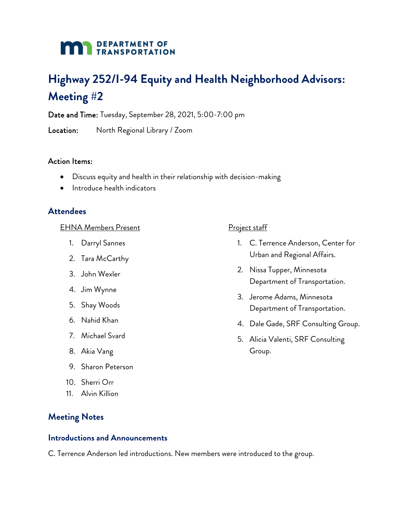## **DEPARTMENT OF TRANSPORTATION**

# **Highway 252/I-94 Equity and Health Neighborhood Advisors: Meeting #2**

Date and Time: Tuesday, September 28, 2021, 5:00-7:00 pm

Location: North Regional Library / Zoom

#### Action Items:

- Discuss equity and health in their relationship with decision-making
- Introduce health indicators

## **Attendees**

#### EHNA Members Present

- 1. Darryl Sannes
- 2. Tara McCarthy
- 3. John Wexler
- 4. Jim Wynne
- 5. Shay Woods
- 6. Nahid Khan
- 7. Michael Svard
- 8. Akia Vang
- 9. Sharon Peterson
- 10. Sherri Orr
- 11. Alvin Killion

## **Meeting Notes**

#### **Introductions and Announcements**

C. Terrence Anderson led introductions. New members were introduced to the group.

#### Project staff

- 1. C. Terrence Anderson, Center for Urban and Regional Affairs.
- 2. Nissa Tupper, Minnesota Department of Transportation.
- 3. Jerome Adams, Minnesota Department of Transportation.
- 4. Dale Gade, SRF Consulting Group.
- 5. Alicia Valenti, SRF Consulting Group.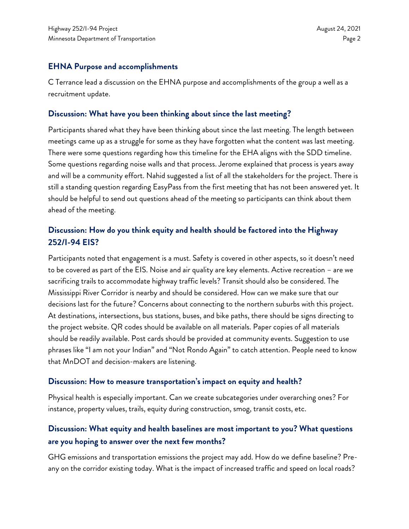## **EHNA Purpose and accomplishments**

C Terrance lead a discussion on the EHNA purpose and accomplishments of the group a well as a recruitment update.

## **Discussion: What have you been thinking about since the last meeting?**

Participants shared what they have been thinking about since the last meeting. The length between meetings came up as a struggle for some as they have forgotten what the content was last meeting. There were some questions regarding how this timeline for the EHA aligns with the SDD timeline. Some questions regarding noise walls and that process. Jerome explained that process is years away and will be a community effort. Nahid suggested a list of all the stakeholders for the project. There is still a standing question regarding EasyPass from the first meeting that has not been answered yet. It should be helpful to send out questions ahead of the meeting so participants can think about them ahead of the meeting.

# **Discussion: How do you think equity and health should be factored into the Highway 252/I-94 EIS?**

Participants noted that engagement is a must. Safety is covered in other aspects, so it doesn't need to be covered as part of the EIS. Noise and air quality are key elements. Active recreation – are we sacrificing trails to accommodate highway traffic levels? Transit should also be considered. The Mississippi River Corridor is nearby and should be considered. How can we make sure that our decisions last for the future? Concerns about connecting to the northern suburbs with this project. At destinations, intersections, bus stations, buses, and bike paths, there should be signs directing to the project website. QR codes should be available on all materials. Paper copies of all materials should be readily available. Post cards should be provided at community events. Suggestion to use phrases like "I am not your Indian" and "Not Rondo Again" to catch attention. People need to know that MnDOT and decision-makers are listening.

## **Discussion: How to measure transportation's impact on equity and health?**

Physical health is especially important. Can we create subcategories under overarching ones? For instance, property values, trails, equity during construction, smog, transit costs, etc.

# **Discussion: What equity and health baselines are most important to you? What questions are you hoping to answer over the next few months?**

GHG emissions and transportation emissions the project may add. How do we define baseline? Preany on the corridor existing today. What is the impact of increased traffic and speed on local roads?